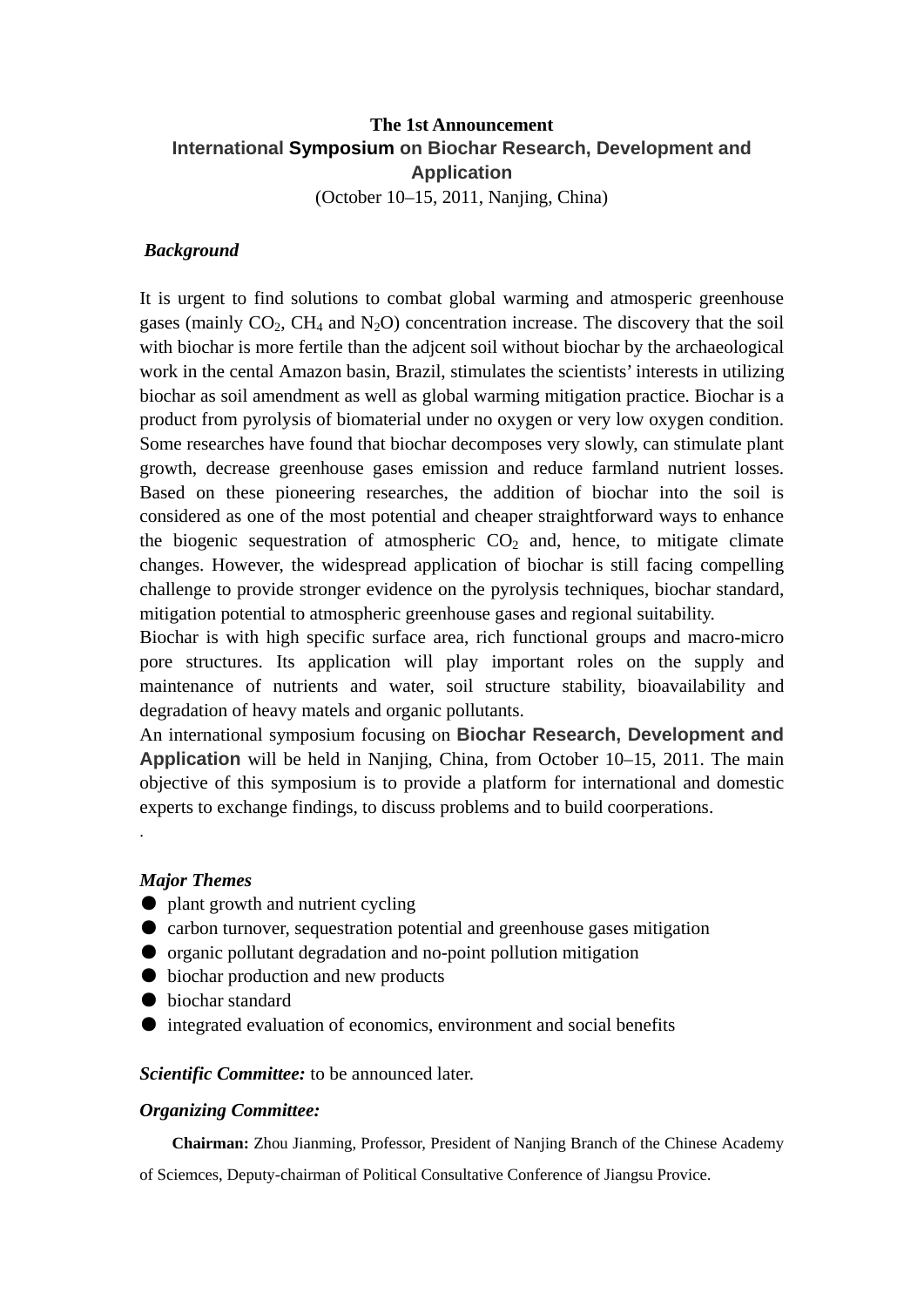# **The 1st Announcement International Symposium on Biochar Research, Development and Application**  (October 10–15, 2011, Nanjing, China)

#### *[Background](http://www.sim.ac.cn/xwzx/tzgg/201010/W020101029503999617258.doc)*

It is urgent to find solutions to combat global warming and atmosperic greenhouse gases (mainly  $CO<sub>2</sub>$ , CH<sub>4</sub> and N<sub>2</sub>O) concentration increase. The discovery that the soil with biochar is more fertile than the adjcent soil without biochar by the archaeological work in the cental Amazon basin, Brazil, stimulates the scientists' interests in utilizing biochar as soil amendment as well as global warming mitigation practice. Biochar is a product from pyrolysis of biomaterial under no oxygen or very low oxygen condition. Some researches have found that biochar decomposes very slowly, can stimulate plant growth, decrease greenhouse gases emission and reduce farmland nutrient losses. Based on these pioneering researches, the addition of biochar into the soil is considered as one of the most potential and cheaper straightforward ways to enhance the biogenic sequestration of atmospheric  $CO<sub>2</sub>$  and, hence, to mitigate climate changes. However, the widespread application of biochar is still facing compelling challenge to provide stronger evidence on the pyrolysis techniques, biochar standard, mitigation potential to atmospheric greenhouse gases and regional suitability.

Biochar is with high specific surface area, rich functional groups and macro-micro pore structures. Its application will play important roles on the supply and maintenance of nutrients and water, soil structure stability, bioavailability and degradation of heavy matels and organic pollutants.

An international symposium focusing on **Biochar Research, Development and Application** will be held in Nanjing, China, from October 10–15, 2011. The main objective of this symposium is to provide a platform for international and domestic experts to exchange findings, to discuss problems and to build coorperations.

#### *Major Themes*

.

- plant growth and nutrient cycling
- carbon turnover, sequestration potential and greenhouse gases mitigation
- organic pollutant degradation and no-point pollution mitigation
- biochar production and new products
- biochar standard
- integrated evaluation of economics, environment and social benefits

*Scientific Committee:* to be announced later.

#### *Organizing Committee:*

**Chairman:** Zhou Jianming, Professor, President of Nanjing Branch of the Chinese Academy

of Sciemces, Deputy-chairman of Political Consultative Conference of Jiangsu Provice.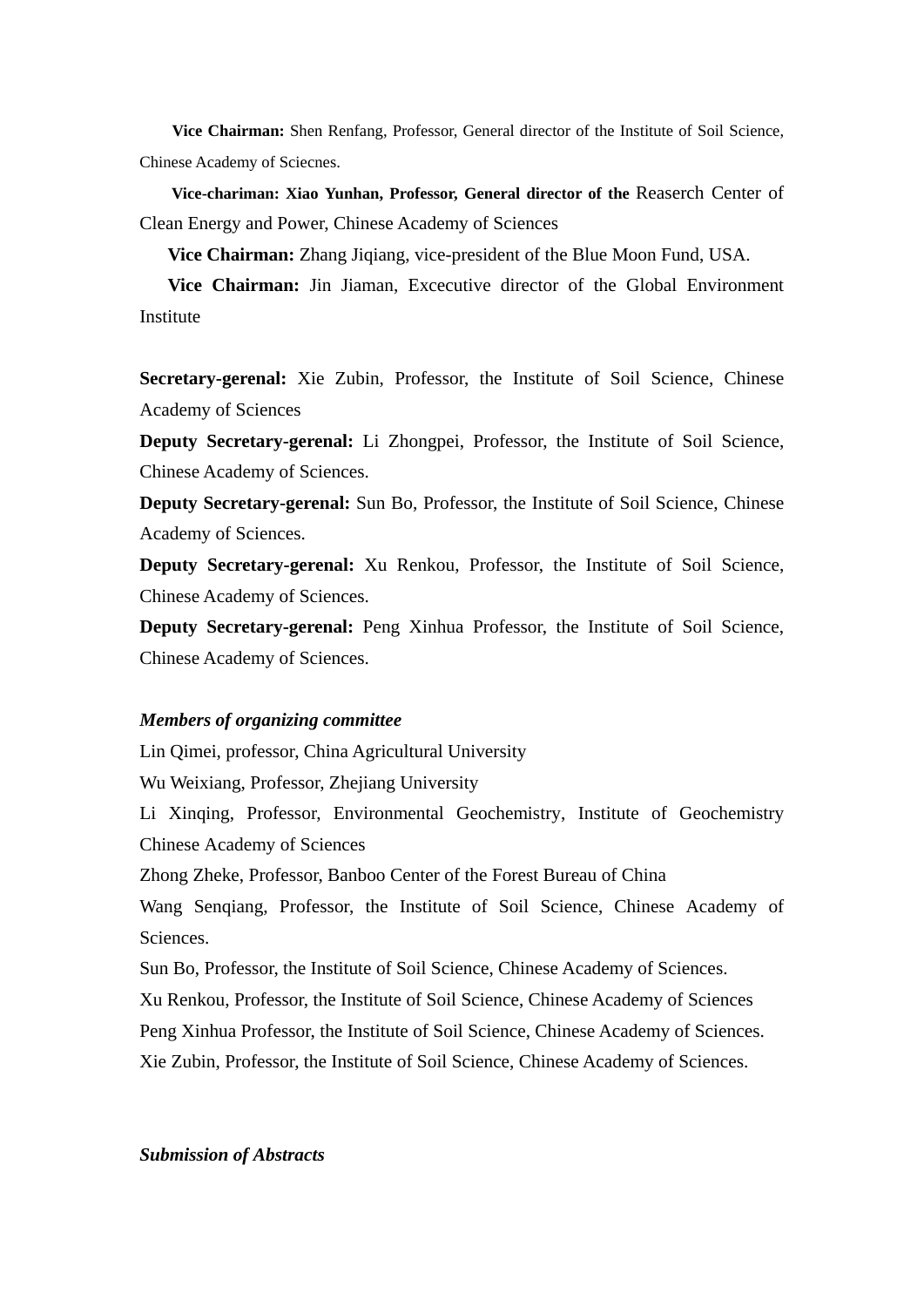**Vice Chairman:** Shen Renfang, Professor, General director of the Institute of Soil Science, Chinese Academy of Sciecnes.

**Vice-chariman: Xiao Yunhan, Professor, General director of the** Reaserch Center of Clean Energy and Power, Chinese Academy of Sciences

**Vice Chairman:** Zhang Jiqiang, vice-president of the Blue Moon Fund, USA.

**Vice Chairman:** Jin Jiaman, Excecutive director of the Global Environment Institute

**Secretary-gerenal:** Xie Zubin, Professor, the Institute of Soil Science, Chinese Academy of Sciences

**Deputy Secretary-gerenal:** Li Zhongpei, Professor, the Institute of Soil Science, Chinese Academy of Sciences.

**Deputy Secretary-gerenal:** Sun Bo, Professor, the Institute of Soil Science, Chinese Academy of Sciences.

**Deputy Secretary-gerenal:** Xu Renkou, Professor, the Institute of Soil Science, Chinese Academy of Sciences.

**Deputy Secretary-gerenal:** Peng Xinhua Professor, the Institute of Soil Science, Chinese Academy of Sciences.

#### *Members of organizing committee*

Lin Qimei, professor, China Agricultural University

Wu Weixiang, Professor, Zhejiang University

Li Xinqing, Professor, Environmental Geochemistry, Institute of Geochemistry Chinese Academy of Sciences

Zhong Zheke, Professor, Banboo Center of the Forest Bureau of China

Wang Senqiang, Professor, the Institute of Soil Science, Chinese Academy of Sciences.

Sun Bo, Professor, the Institute of Soil Science, Chinese Academy of Sciences.

Xu Renkou, Professor, the Institute of Soil Science, Chinese Academy of Sciences

Peng Xinhua Professor, the Institute of Soil Science, Chinese Academy of Sciences.

Xie Zubin, Professor, the Institute of Soil Science, Chinese Academy of Sciences.

#### *Submission of Abstracts*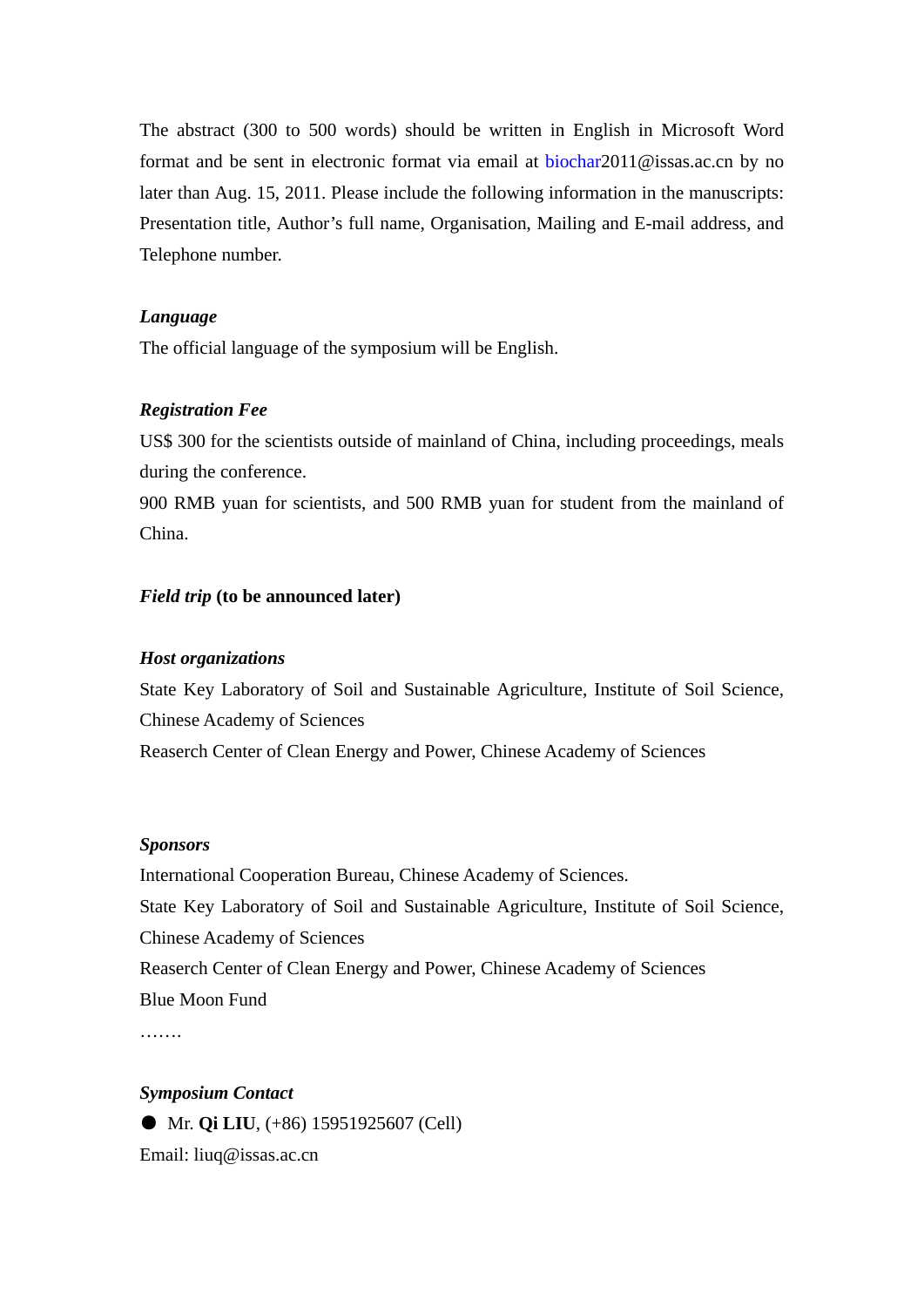The abstract (300 to 500 words) should be written in English in Microsoft Word format and be sent in electronic format via email at [biochar](mailto:biochar)2011@issas.ac.cn by no later than Aug. 15, 2011. Please include the following information in the manuscripts: Presentation title, Author's full name, Organisation, Mailing and E-mail address, and Telephone number.

## *Language*

The official language of the symposium will be English.

## *Registration Fee*

US\$ 300 for the scientists outside of mainland of China, including proceedings, meals during the conference.

900 RMB yuan for scientists, and 500 RMB yuan for student from the mainland of China.

## *Field trip* **(to be announced later)**

#### *Host organizations*

State Key Laboratory of Soil and Sustainable Agriculture, Institute of Soil Science, Chinese Academy of Sciences Reaserch Center of Clean Energy and Power, Chinese Academy of Sciences

#### *Sponsors*

International Cooperation Bureau, Chinese Academy of Sciences. State Key Laboratory of Soil and Sustainable Agriculture, Institute of Soil Science, Chinese Academy of Sciences Reaserch Center of Clean Energy and Power, Chinese Academy of Sciences Blue Moon Fund

…….

## *Symposium Contact*

● Mr. **Qi LIU**, (+86) 15951925607 (Cell) Email: liuq@issas.ac.cn